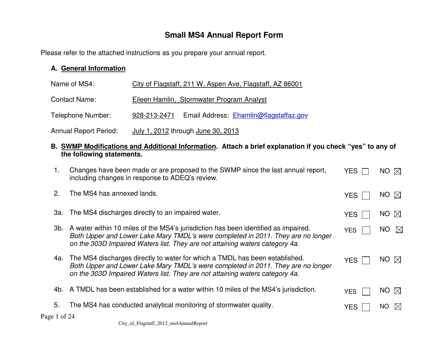# **Small MS4 Annual Report Form**

Please refer to the attached instructions as you prepare your annual report.

#### **A. General Information**

| Name of MS4:                 | City of Flagstaff, 211 W. Aspen Ave, Flagstaff, AZ 86001 |  |  |  |  |
|------------------------------|----------------------------------------------------------|--|--|--|--|
| <b>Contact Name:</b>         | Eileen Hamlin, Stormwater Program Analyst                |  |  |  |  |
| Telephone Number:            | Email Address: Ehamlin@flagstaffaz.gov<br>928-213-2471   |  |  |  |  |
| <b>Annual Report Period:</b> | July 1, 2012 through June 30, 2013                       |  |  |  |  |

#### **B. SWMP Modifications and Additional Information. Attach a brief explanation if you check "yes" to any of the following statements.**

| 1.           | Changes have been made or are proposed to the SWMP since the last annual report,<br>including changes in response to ADEQ's review.                                                                                                                        | YES.       | $NO \nabla$      |
|--------------|------------------------------------------------------------------------------------------------------------------------------------------------------------------------------------------------------------------------------------------------------------|------------|------------------|
| 2.           | The MS4 has annexed lands.                                                                                                                                                                                                                                 | <b>YES</b> | NO $\bowtie$     |
|              | 3a. The MS4 discharges directly to an impaired water.                                                                                                                                                                                                      | <b>YES</b> | NO $\boxtimes$   |
|              | 3b. A water within 10 miles of the MS4's jurisdiction has been identified as impaired.<br>Both Upper and Lower Lake Mary TMDL's were completed in 2011. They are no longer<br>on the 303D Impaired Waters list. They are not attaining waters category 4a. | <b>YES</b> | NO $\boxtimes$   |
|              | 4a. The MS4 discharges directly to water for which a TMDL has been established.<br>Both Upper and Lower Lake Mary TMDL's were completed in 2011. They are no longer<br>on the 303D Impaired Waters list. They are not attaining waters category 4a.        | <b>YES</b> | $NO \n\boxtimes$ |
|              | 4b. A TMDL has been established for a water within 10 miles of the MS4's jurisdiction.                                                                                                                                                                     | <b>YES</b> | NO $\boxtimes$   |
| 5.           | The MS4 has conducted analytical monitoring of stormwater quality.                                                                                                                                                                                         | <b>YES</b> | NO.<br>IXI       |
| Page 1 of 24 |                                                                                                                                                                                                                                                            |            |                  |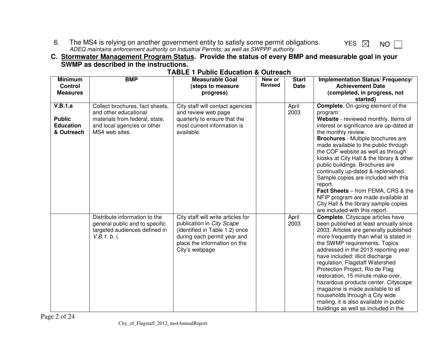6. The MS4 is relying on another government entity to satisfy some permit obligations.<br>ADEQ maintains enforcement authority on Industrial Permits; as well as SWPPP authority

#### **C. Stormwater Management Program Status. Provide the status of every BMP and measurable goal in your SWMP as described in the instructions.**

| <b>Minimum</b><br><b>Control</b><br><b>Measures</b>        | <b>BMP</b>                                                                                                                                  | <b>Measurable Goal</b><br>(steps to measure<br>progress)                                                                                                                           | New or<br><b>Revised</b> | <b>Start</b><br><b>Date</b> | Implementation Status/ Frequency/<br><b>Achievement Date</b><br>(completed, in progress, not<br>started)                                                                                                                                                                                                                                                                                                                                                                                                                                                                                                                    |
|------------------------------------------------------------|---------------------------------------------------------------------------------------------------------------------------------------------|------------------------------------------------------------------------------------------------------------------------------------------------------------------------------------|--------------------------|-----------------------------|-----------------------------------------------------------------------------------------------------------------------------------------------------------------------------------------------------------------------------------------------------------------------------------------------------------------------------------------------------------------------------------------------------------------------------------------------------------------------------------------------------------------------------------------------------------------------------------------------------------------------------|
| V.B.1.a<br><b>Public</b><br><b>Education</b><br>& Outreach | Collect brochures, fact sheets,<br>and other educational<br>materials from federal, state,<br>and local agencies or other<br>MS4 web sites. | City staff will contact agencies<br>and review web page<br>quarterly to ensure that the<br>most current information is<br>available.                                               |                          | April<br>2003               | <b>Complete.</b> On-going element of the<br>program:<br>Website - reviewed monthly. Items of<br>interest or significance are up-dated at<br>the monthly review.<br><b>Brochures</b> - Multiple brochures are<br>made available to the public through<br>the COF website as well as through<br>kiosks at City Hall & the library & other<br>public buildings. Brochures are<br>continually up-dated & replenished.<br>Sample copies are included with this<br>report.<br>Fact Sheets - from FEMA, CRS & the<br>NFIP program are made available at<br>City Hall & the library sample copies<br>are included with this report. |
|                                                            | Distribute information to the<br>general public and to specific<br>targeted audiences defined in<br>V.B.1.b. i.                             | City staff will write articles for<br>publication in City Scape<br>(identified in Table 1.2) once<br>during each permit year and<br>place the information on the<br>City's webpage |                          | April<br>2003               | <b>Complete.</b> Cityscape articles have<br>been published at least annually since<br>2003. Articles are generally published<br>more frequently than what is stated in<br>the SWMP requirements. Topics<br>addressed in the 2013 reporting year<br>have included: illicit discharge<br>regulation, Flagstaff Watershed<br>Protection Project, Rio de Flag<br>restoration, 15 minute make-over,<br>hazardous products center. Cityscape<br>magazine is made available to all<br>households through a City wide<br>mailing, it is also available in public<br>buildings as well as included in the                            |

#### **TABLE 1 Public Education & Outreach**

YES  $\boxtimes$  NO  $\Box$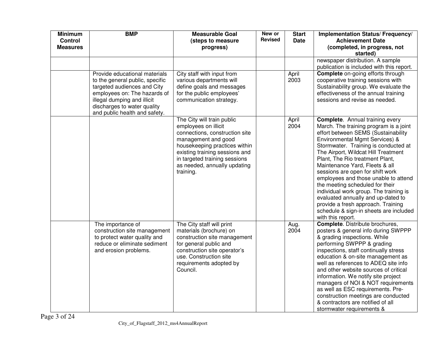| <b>Minimum</b><br><b>Control</b><br><b>Measures</b> | <b>BMP</b>                                                                                                                                                                                                                     | <b>Measurable Goal</b><br>(steps to measure<br>progress)                                                                                                                                                                                                     | New or<br><b>Revised</b> | <b>Start</b><br><b>Date</b> | Implementation Status/ Frequency/<br><b>Achievement Date</b><br>(completed, in progress, not<br>started)                                                                                                                                                                                                                                                                                                                                                                                                                                                                                                          |
|-----------------------------------------------------|--------------------------------------------------------------------------------------------------------------------------------------------------------------------------------------------------------------------------------|--------------------------------------------------------------------------------------------------------------------------------------------------------------------------------------------------------------------------------------------------------------|--------------------------|-----------------------------|-------------------------------------------------------------------------------------------------------------------------------------------------------------------------------------------------------------------------------------------------------------------------------------------------------------------------------------------------------------------------------------------------------------------------------------------------------------------------------------------------------------------------------------------------------------------------------------------------------------------|
|                                                     |                                                                                                                                                                                                                                |                                                                                                                                                                                                                                                              |                          |                             | newspaper distribution. A sample<br>publication is included with this report.                                                                                                                                                                                                                                                                                                                                                                                                                                                                                                                                     |
|                                                     | Provide educational materials<br>to the general public, specific<br>targeted audiences and City<br>employees on: The hazards of<br>illegal dumping and illicit<br>discharges to water quality<br>and public health and safety. | City staff with input from<br>various departments will<br>define goals and messages<br>for the public employees'<br>communication strategy.                                                                                                                  |                          | April<br>2003               | <b>Complete</b> on-going efforts through<br>cooperative training sessions with<br>Sustainability group. We evaluate the<br>effectiveness of the annual training<br>sessions and revise as needed.                                                                                                                                                                                                                                                                                                                                                                                                                 |
|                                                     |                                                                                                                                                                                                                                | The City will train public<br>employees on illicit<br>connections, construction site<br>management and good<br>housekeeping practices within<br>existing training sessions and<br>in targeted training sessions<br>as needed, annually updating<br>training. |                          | April<br>2004               | <b>Complete.</b> Annual training every<br>March. The training program is a joint<br>effort between SEMS (Sustainability<br>Environmental Mgmt Services) &<br>Stormwater. Training is conducted at<br>The Airport, Wildcat Hill Treatment<br>Plant, The Rio treatment Plant,<br>Maintenance Yard, Fleets & all<br>sessions are open for shift work<br>employees and those unable to attend<br>the meeting scheduled for their<br>individual work group. The training is<br>evaluated annually and up-dated to<br>provide a fresh approach. Training<br>schedule & sign-in sheets are included<br>with this report. |
|                                                     | The importance of<br>construction site management<br>to protect water quality and<br>reduce or eliminate sediment<br>and erosion problems.                                                                                     | The City staff will print<br>materials (brochure) on<br>construction site management<br>for general public and<br>construction site operator's<br>use. Construction site<br>requirements adopted by<br>Council.                                              |                          | Aug.<br>2004                | Complete. Distribute brochures,<br>posters & general info during SWPPP<br>& grading inspections. While<br>performing SWPPP & grading<br>inspections, staff continually stress<br>education & on-site management as<br>well as references to ADEQ site info<br>and other website sources of critical<br>information. We notify site project<br>managers of NOI & NOT requirements<br>as well as ESC requirements. Pre-<br>construction meetings are conducted<br>& contractors are notified of all<br>stormwater requirements &                                                                                    |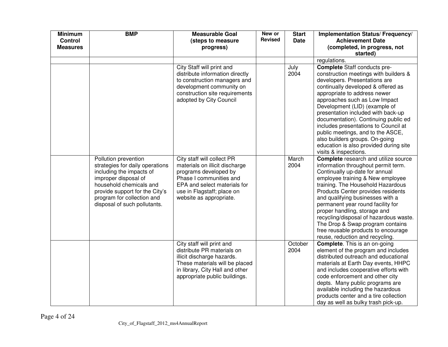| <b>Minimum</b><br>Control<br><b>Measures</b> | <b>BMP</b>                                                                                                                                                                                                                             | <b>Measurable Goal</b><br>(steps to measure<br>progress)                                                                                                                                                  | New or<br><b>Revised</b> | <b>Start</b><br><b>Date</b> | Implementation Status/ Frequency/<br><b>Achievement Date</b><br>(completed, in progress, not<br>started)                                                                                                                                                                                                                                                                                                                                                                                                              |
|----------------------------------------------|----------------------------------------------------------------------------------------------------------------------------------------------------------------------------------------------------------------------------------------|-----------------------------------------------------------------------------------------------------------------------------------------------------------------------------------------------------------|--------------------------|-----------------------------|-----------------------------------------------------------------------------------------------------------------------------------------------------------------------------------------------------------------------------------------------------------------------------------------------------------------------------------------------------------------------------------------------------------------------------------------------------------------------------------------------------------------------|
|                                              |                                                                                                                                                                                                                                        |                                                                                                                                                                                                           |                          |                             | regulations.                                                                                                                                                                                                                                                                                                                                                                                                                                                                                                          |
|                                              |                                                                                                                                                                                                                                        | City Staff will print and<br>distribute information directly<br>to construction managers and<br>development community on<br>construction site requirements<br>adopted by City Council                     |                          | July<br>2004                | <b>Complete</b> Staff conducts pre-<br>construction meetings with builders &<br>developers. Presentations are<br>continually developed & offered as<br>appropriate to address newer<br>approaches such as Low Impact<br>Development (LID) (example of<br>presentation included with back-up<br>documentation). Continuing public ed<br>includes presentations to Council at<br>public meetings, and to the ASCE,<br>also builders groups. On-going<br>education is also provided during site<br>visits & inspections. |
|                                              | Pollution prevention<br>strategies for daily operations<br>including the impacts of<br>improper disposal of<br>household chemicals and<br>provide support for the City's<br>program for collection and<br>disposal of such pollutants. | City staff will collect PR<br>materials on illicit discharge<br>programs developed by<br>Phase I communities and<br>EPA and select materials for<br>use in Flagstaff; place on<br>website as appropriate. |                          | March<br>2004               | <b>Complete</b> research and utilize source<br>information throughout permit term.<br>Continually up-date for annual<br>employee training & New employee<br>training. The Household Hazardous<br>Products Center provides residents<br>and qualifying businesses with a<br>permanent year round facility for<br>proper handling, storage and<br>recycling/disposal of hazardous waste.<br>The Drop & Swap program contains<br>free reusable products to encourage<br>reuse, reduction and recycling.                  |
|                                              |                                                                                                                                                                                                                                        | City staff will print and<br>distribute PR materials on<br>illicit discharge hazards.<br>These materials will be placed<br>in library, City Hall and other<br>appropriate public buildings.               |                          | October<br>2004             | <b>Complete.</b> This is an on-going<br>element of the program and includes<br>distributed outreach and educational<br>materials at Earth Day events, HHPC<br>and includes cooperative efforts with<br>code enforcement and other city<br>depts. Many public programs are<br>available including the hazardous<br>products center and a tire collection<br>day as well as bulky trash pick-up.                                                                                                                        |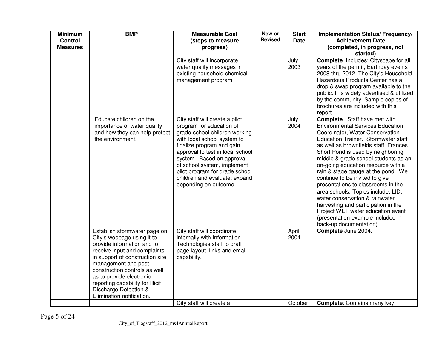| <b>Minimum</b><br><b>Control</b><br><b>Measures</b> | <b>BMP</b>                                                                                                                                                                                                                                                                                                                                | <b>Measurable Goal</b><br>(steps to measure<br>progress)                                                                                                                                                                                                                                                                                            | New or<br><b>Revised</b> | <b>Start</b><br><b>Date</b> | Implementation Status/ Frequency/<br><b>Achievement Date</b><br>(completed, in progress, not<br>started)                                                                                                                                                                                                                                                                                                                                                                                                                                                                                                                                                |
|-----------------------------------------------------|-------------------------------------------------------------------------------------------------------------------------------------------------------------------------------------------------------------------------------------------------------------------------------------------------------------------------------------------|-----------------------------------------------------------------------------------------------------------------------------------------------------------------------------------------------------------------------------------------------------------------------------------------------------------------------------------------------------|--------------------------|-----------------------------|---------------------------------------------------------------------------------------------------------------------------------------------------------------------------------------------------------------------------------------------------------------------------------------------------------------------------------------------------------------------------------------------------------------------------------------------------------------------------------------------------------------------------------------------------------------------------------------------------------------------------------------------------------|
|                                                     |                                                                                                                                                                                                                                                                                                                                           | City staff will incorporate<br>water quality messages in<br>existing household chemical<br>management program                                                                                                                                                                                                                                       |                          | July<br>2003                | Complete. Includes: Cityscape for all<br>years of the permit, Earthday events<br>2008 thru 2012. The City's Household<br>Hazardous Products Center has a<br>drop & swap program available to the<br>public. It is widely advertised & utilized<br>by the community. Sample copies of<br>brochures are included with this<br>report.                                                                                                                                                                                                                                                                                                                     |
|                                                     | Educate children on the<br>importance of water quality<br>and how they can help protect<br>the environment.                                                                                                                                                                                                                               | City staff will create a pilot<br>program for education of<br>grade-school children working<br>with local school system to<br>finalize program and gain<br>approval to test in local school<br>system. Based on approval<br>of school system, implement<br>pilot program for grade school<br>children and evaluate; expand<br>depending on outcome. |                          | July<br>2004                | <b>Complete.</b> Staff have met with<br><b>Environmental Services Education</b><br>Coordinator, Water Conservation<br>Education Trainer. Stormwater staff<br>as well as brownfields staff. Frances<br>Short Pond is used by neighboring<br>middle & grade school students as an<br>on-going education resource with a<br>rain & stage gauge at the pond. We<br>continue to be invited to give<br>presentations to classrooms in the<br>area schools. Topics include: LID,<br>water conservation & rainwater<br>harvesting and participation in the<br>Project WET water education event<br>(presentation example included in<br>back-up documentation). |
|                                                     | Establish stormwater page on<br>City's webpage using it to<br>provide information and to<br>receive input and complaints<br>in support of construction site<br>management and post<br>construction controls as well<br>as to provide electronic<br>reporting capability for Illicit<br>Discharge Detection &<br>Elimination notification. | City staff will coordinate<br>internally with Information<br>Technologies staff to draft<br>page layout, links and email<br>capability.                                                                                                                                                                                                             |                          | April<br>2004               | Complete June 2004.                                                                                                                                                                                                                                                                                                                                                                                                                                                                                                                                                                                                                                     |
|                                                     |                                                                                                                                                                                                                                                                                                                                           | City staff will create a                                                                                                                                                                                                                                                                                                                            |                          | October                     | <b>Complete:</b> Contains many key                                                                                                                                                                                                                                                                                                                                                                                                                                                                                                                                                                                                                      |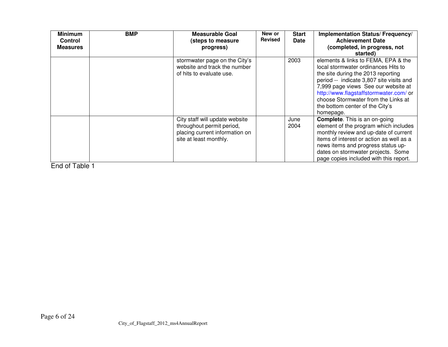| <b>Minimum</b><br><b>Control</b><br><b>Measures</b> | <b>BMP</b> | <b>Measurable Goal</b><br>(steps to measure<br>progress)                                                                | New or<br><b>Revised</b> | <b>Start</b><br><b>Date</b> | Implementation Status/ Frequency/<br><b>Achievement Date</b><br>(completed, in progress, not<br>started)                                                                                                                                                                                                                             |
|-----------------------------------------------------|------------|-------------------------------------------------------------------------------------------------------------------------|--------------------------|-----------------------------|--------------------------------------------------------------------------------------------------------------------------------------------------------------------------------------------------------------------------------------------------------------------------------------------------------------------------------------|
|                                                     |            | stormwater page on the City's<br>website and track the number<br>of hits to evaluate use.                               |                          | 2003                        | elements & links to FEMA, EPA & the<br>local stormwater ordinances Hits to<br>the site during the 2013 reporting<br>period -- indicate 3,807 site visits and<br>7,999 page views See our website at<br>http://www.flagstaffstormwater.com/ or<br>choose Stormwater from the Links at<br>the bottom center of the City's<br>homepage. |
|                                                     |            | City staff will update website<br>throughout permit period,<br>placing current information on<br>site at least monthly. |                          | June<br>2004                | <b>Complete.</b> This is an on-going<br>element of the program which includes<br>monthly review and up-date of current<br>items of interest or action as well as a<br>news items and progress status up-<br>dates on stormwater projects. Some<br>page copies included with this report.                                             |

End of Table 1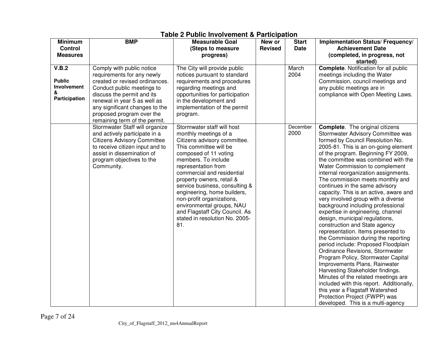| <b>Minimum</b><br><b>Control</b><br><b>Measures</b>         | <b>BMP</b>                                                                                                                                                                                                                                                                            | <b>Measurable Goal</b><br>(Steps to measure<br>progress)                                                                                                                                                                                                                                                                                                                                                                                              | New or<br><b>Revised</b> | <b>Start</b><br><b>Date</b> | Implementation Status/ Frequency/<br><b>Achievement Date</b><br>(completed, in progress, not<br>started)                                                                                                                                                                                                                                                                                                                                                                                                                                                                                                                                                                                                                                                                                                                                                                                                                                                                                                                                                                        |
|-------------------------------------------------------------|---------------------------------------------------------------------------------------------------------------------------------------------------------------------------------------------------------------------------------------------------------------------------------------|-------------------------------------------------------------------------------------------------------------------------------------------------------------------------------------------------------------------------------------------------------------------------------------------------------------------------------------------------------------------------------------------------------------------------------------------------------|--------------------------|-----------------------------|---------------------------------------------------------------------------------------------------------------------------------------------------------------------------------------------------------------------------------------------------------------------------------------------------------------------------------------------------------------------------------------------------------------------------------------------------------------------------------------------------------------------------------------------------------------------------------------------------------------------------------------------------------------------------------------------------------------------------------------------------------------------------------------------------------------------------------------------------------------------------------------------------------------------------------------------------------------------------------------------------------------------------------------------------------------------------------|
| V.B.2<br><b>Public</b><br>Involvement<br>&<br>Participation | Comply with public notice<br>requirements for any newly<br>created or revised ordinances.<br>Conduct public meetings to<br>discuss the permit and its<br>renewal in year 5 as well as<br>any significant changes to the<br>proposed program over the<br>remaining term of the permit. | The City will provide public<br>notices pursuant to standard<br>requirements and procedures<br>regarding meetings and<br>opportunities for participation<br>in the development and<br>implementation of the permit<br>program.                                                                                                                                                                                                                        |                          | March<br>2004               | <b>Complete.</b> Notification for all public<br>meetings including the Water<br>Commission, council meetings and<br>any public meetings are in<br>compliance with Open Meeting Laws.                                                                                                                                                                                                                                                                                                                                                                                                                                                                                                                                                                                                                                                                                                                                                                                                                                                                                            |
|                                                             | Stormwater Staff will organize<br>and actively participate in a<br><b>Citizens Advisory Committee</b><br>to receive citizen input and to<br>assist in dissemination of<br>program objectives to the<br>Community.                                                                     | Stormwater staff will host<br>monthly meetings of a<br>Citizens advisory committee.<br>This committee will be<br>composed of 11 voting<br>members. To include<br>representation from<br>commercial and residential<br>property owners, retail &<br>service business, consulting &<br>engineering, home builders,<br>non-profit organizations,<br>environmental groups, NAU<br>and Flagstaff City Council. As<br>stated in resolution No. 2005-<br>81. |                          | December<br>2000            | <b>Complete.</b> The original citizens<br>Stormwater Advisory Committee was<br>formed by Council Resolution No.<br>2005-81. This is an on-going element<br>of the program. Beginning FY 2009,<br>the committee was combined with the<br>Water Commission to complement<br>internal reorganization assignments.<br>The commission meets monthly and<br>continues in the same advisory<br>capacity. This is an active, aware and<br>very involved group with a diverse<br>background including professional<br>expertise in engineering, channel<br>design, municipal regulations,<br>construction and State agency<br>representation. Items presented to<br>the Commission during the reporting<br>period include: Proposed Floodplain<br>Ordinance Revisions, Stormwater<br>Program Policy, Stormwater Capital<br>Improvements Plans, Rainwater<br>Harvesting Stakeholder findings.<br>Minutes of the related meetings are<br>included with this report. Additionally,<br>this year a Flagstaff Watershed<br>Protection Project (FWPP) was<br>developed. This is a multi-agency |

#### **Table 2 Public Involvement & Participation**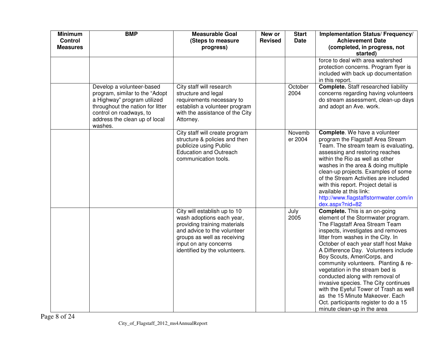| <b>Minimum</b><br><b>Control</b><br><b>Measures</b> | <b>BMP</b>                                                                                                                                                                                            | <b>Measurable Goal</b><br>(Steps to measure<br>progress)                                                                                                                                                          | New or<br><b>Revised</b> | <b>Start</b><br><b>Date</b> | Implementation Status/ Frequency/<br><b>Achievement Date</b><br>(completed, in progress, not<br>started)                                                                                                                                                                                                                                                                                                                                                                                                                                                                                                           |
|-----------------------------------------------------|-------------------------------------------------------------------------------------------------------------------------------------------------------------------------------------------------------|-------------------------------------------------------------------------------------------------------------------------------------------------------------------------------------------------------------------|--------------------------|-----------------------------|--------------------------------------------------------------------------------------------------------------------------------------------------------------------------------------------------------------------------------------------------------------------------------------------------------------------------------------------------------------------------------------------------------------------------------------------------------------------------------------------------------------------------------------------------------------------------------------------------------------------|
|                                                     |                                                                                                                                                                                                       |                                                                                                                                                                                                                   |                          |                             | force to deal with area watershed<br>protection concerns. Program flyer is<br>included with back up documentation<br>in this report.                                                                                                                                                                                                                                                                                                                                                                                                                                                                               |
|                                                     | Develop a volunteer-based<br>program, similar to the "Adopt<br>a Highway" program utilized<br>throughout the nation for litter<br>control on roadways, to<br>address the clean up of local<br>washes. | City staff will research<br>structure and legal<br>requirements necessary to<br>establish a volunteer program<br>with the assistance of the City<br>Attorney.                                                     |                          | October<br>2004             | <b>Complete.</b> Staff researched liability<br>concerns regarding having volunteers<br>do stream assessment, clean-up days<br>and adopt an Ave. work.                                                                                                                                                                                                                                                                                                                                                                                                                                                              |
|                                                     |                                                                                                                                                                                                       | City staff will create program<br>structure & policies and then<br>publicize using Public<br><b>Education and Outreach</b><br>communication tools.                                                                |                          | Novemb<br>er 2004           | Complete. We have a volunteer<br>program the Flagstaff Area Stream<br>Team. The stream team is evaluating,<br>assessing and restoring reaches<br>within the Rio as well as other<br>washes in the area & doing multiple<br>clean-up projects. Examples of some<br>of the Stream Activities are included<br>with this report. Project detail is<br>available at this link:<br>http://www.flagstaffstormwater.com/in<br>dex.aspx?nid=82                                                                                                                                                                              |
|                                                     |                                                                                                                                                                                                       | City will establish up to 10<br>wash adoptions each year,<br>providing training materials<br>and advice to the volunteer<br>groups as well as receiving<br>input on any concerns<br>identified by the volunteers. |                          | July<br>2005                | <b>Complete.</b> This is an on-going<br>element of the Stormwater program.<br>The Flagstaff Area Stream Team<br>inspects, investigates and removes<br>litter from washes in the City. In<br>October of each year staff host Make<br>A Difference Day. Volunteers include<br>Boy Scouts, AmeriCorps, and<br>community volunteers. Planting & re-<br>vegetation in the stream bed is<br>conducted along with removal of<br>invasive species. The City continues<br>with the Eyeful Tower of Trash as well<br>as the 15 Minute Makeover. Each<br>Oct. participants register to do a 15<br>minute clean-up in the area |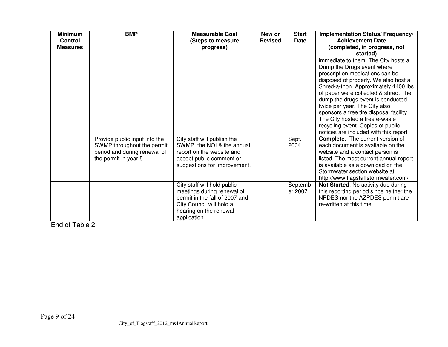| <b>Minimum</b><br>Control<br><b>Measures</b> | <b>BMP</b>                                                                                                           | <b>Measurable Goal</b><br>(Steps to measure<br>progress)                                                                                                          | New or<br><b>Revised</b> | <b>Start</b><br><b>Date</b> | Implementation Status/ Frequency/<br><b>Achievement Date</b><br>(completed, in progress, not<br>started)                                                                                                                                                                                                                                                                                                                                                                                                                                                                                                                   |
|----------------------------------------------|----------------------------------------------------------------------------------------------------------------------|-------------------------------------------------------------------------------------------------------------------------------------------------------------------|--------------------------|-----------------------------|----------------------------------------------------------------------------------------------------------------------------------------------------------------------------------------------------------------------------------------------------------------------------------------------------------------------------------------------------------------------------------------------------------------------------------------------------------------------------------------------------------------------------------------------------------------------------------------------------------------------------|
|                                              | Provide public input into the<br>SWMP throughout the permit<br>period and during renewal of<br>the permit in year 5. | City staff will publish the<br>SWMP, the NOI & the annual<br>report on the website and<br>accept public comment or                                                |                          | Sept.<br>2004               | immediate to them. The City hosts a<br>Dump the Drugs event where<br>prescription medications can be<br>disposed of properly. We also host a<br>Shred-a-thon. Approximately 4400 lbs<br>of paper were collected & shred. The<br>dump the drugs event is conducted<br>twice per year. The City also<br>sponsors a free tire disposal facility.<br>The City hosted a free e-waste<br>recycling event. Copies of public<br>notices are included with this report<br><b>Complete.</b> The current version of<br>each document is available on the<br>website and a contact person is<br>listed. The most current annual report |
|                                              |                                                                                                                      | suggestions for improvement.                                                                                                                                      |                          |                             | is available as a download on the<br>Stormwater section website at<br>http://www.flagstaffstormwater.com/                                                                                                                                                                                                                                                                                                                                                                                                                                                                                                                  |
|                                              |                                                                                                                      | City staff will hold public<br>meetings during renewal of<br>permit in the fall of 2007 and<br>City Council will hold a<br>hearing on the renewal<br>application. |                          | Septemb<br>er 2007          | Not Started. No activity due during<br>this reporting period since neither the<br>NPDES nor the AZPDES permit are<br>re-written at this time.                                                                                                                                                                                                                                                                                                                                                                                                                                                                              |

End of Table 2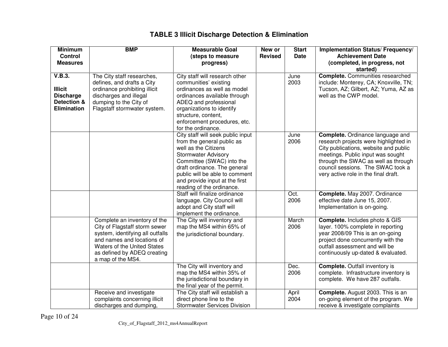| <b>Minimum</b><br><b>Control</b>                                                  | <b>BMP</b>                                                                                                                                                                                                         | <b>Measurable Goal</b><br>(steps to measure                                                                                                                                                                                                                                         | New or<br><b>Revised</b> | <b>Start</b><br><b>Date</b> | Implementation Status/ Frequency/<br><b>Achievement Date</b>                                                                                                                                                                                                                       |
|-----------------------------------------------------------------------------------|--------------------------------------------------------------------------------------------------------------------------------------------------------------------------------------------------------------------|-------------------------------------------------------------------------------------------------------------------------------------------------------------------------------------------------------------------------------------------------------------------------------------|--------------------------|-----------------------------|------------------------------------------------------------------------------------------------------------------------------------------------------------------------------------------------------------------------------------------------------------------------------------|
| <b>Measures</b>                                                                   |                                                                                                                                                                                                                    | progress)                                                                                                                                                                                                                                                                           |                          |                             | (completed, in progress, not<br>started)                                                                                                                                                                                                                                           |
| V.B.3.<br><b>Illicit</b><br><b>Discharge</b><br>Detection &<br><b>Elimination</b> | The City staff researches,<br>defines, and drafts a City<br>ordinance prohibiting illicit<br>discharges and illegal<br>dumping to the City of<br>Flagstaff stormwater system.                                      | City staff will research other<br>communities' existing<br>ordinances as well as model<br>ordinances available through<br>ADEQ and professional<br>organizations to identify<br>structure, content,<br>enforcement procedures, etc.<br>for the ordinance.                           |                          | June<br>2003                | <b>Complete.</b> Communities researched<br>include: Monterey, CA; Knoxville, TN;<br>Tucson, AZ; Gilbert, AZ; Yuma, AZ as<br>well as the CWP model.                                                                                                                                 |
|                                                                                   |                                                                                                                                                                                                                    | City staff will seek public input<br>from the general public as<br>well as the Citizens<br><b>Stormwater Advisory</b><br>Committee (SWAC) into the<br>draft ordinance. The general<br>public will be able to comment<br>and provide input at the first<br>reading of the ordinance. |                          | June<br>2006                | <b>Complete.</b> Ordinance language and<br>research projects were highlighted in<br>City publications, website and public<br>meetings. Public input was sought<br>through the SWAC as well as through<br>council sessions. The SWAC took a<br>very active role in the final draft. |
|                                                                                   |                                                                                                                                                                                                                    | Staff will finalize ordinance<br>language. City Council will<br>adopt and City staff will<br>implement the ordinance.                                                                                                                                                               |                          | Oct.<br>2006                | Complete. May 2007. Ordinance<br>effective date June 15, 2007.<br>Implementation is on-going.                                                                                                                                                                                      |
|                                                                                   | Complete an inventory of the<br>City of Flagstaff storm sewer<br>system, identifying all outfalls<br>and names and locations of<br>Waters of the United States<br>as defined by ADEQ creating<br>a map of the MS4. | The City will inventory and<br>map the MS4 within 65% of<br>the jurisdictional boundary.                                                                                                                                                                                            |                          | March<br>2006               | Complete. Includes photo & GIS<br>layer. 100% complete in reporting<br>year 2008/09 This is an on-going<br>project done concurrently with the<br>outfall assessment and will be<br>continuously up-dated & evaluated.                                                              |
|                                                                                   |                                                                                                                                                                                                                    | The City will inventory and<br>map the MS4 within 35% of<br>the jurisdictional boundary in<br>the final year of the permit.                                                                                                                                                         |                          | Dec.<br>2006                | <b>Complete.</b> Outfall inventory is<br>complete. Infrastructure inventory is<br>complete. We have 287 outfalls.                                                                                                                                                                  |
|                                                                                   | Receive and investigate<br>complaints concerning illicit<br>discharges and dumping,                                                                                                                                | The City staff will establish a<br>direct phone line to the<br><b>Stormwater Services Division</b>                                                                                                                                                                                  |                          | April<br>2004               | Complete. August 2003. This is an<br>on-going element of the program. We<br>receive & investigate complaints                                                                                                                                                                       |

## **TABLE 3 Illicit Discharge Detection & Elimination**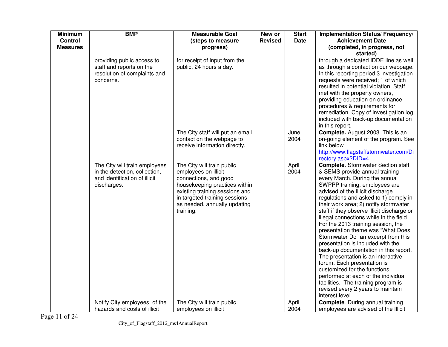| <b>Minimum</b><br><b>Control</b><br><b>Measures</b> | <b>BMP</b>                                                                                                     | <b>Measurable Goal</b><br>(steps to measure<br>progress)                                                                                                                                                                     | New or<br><b>Revised</b> | <b>Start</b><br><b>Date</b> | Implementation Status/ Frequency/<br><b>Achievement Date</b><br>(completed, in progress, not<br>started)                                                                                                                                                                                                                                                                                                                                                                                                                                                                                                                                                                                                                                                                                                 |
|-----------------------------------------------------|----------------------------------------------------------------------------------------------------------------|------------------------------------------------------------------------------------------------------------------------------------------------------------------------------------------------------------------------------|--------------------------|-----------------------------|----------------------------------------------------------------------------------------------------------------------------------------------------------------------------------------------------------------------------------------------------------------------------------------------------------------------------------------------------------------------------------------------------------------------------------------------------------------------------------------------------------------------------------------------------------------------------------------------------------------------------------------------------------------------------------------------------------------------------------------------------------------------------------------------------------|
|                                                     | providing public access to<br>staff and reports on the<br>resolution of complaints and<br>concerns.            | for receipt of input from the<br>public, 24 hours a day.                                                                                                                                                                     |                          |                             | through a dedicated IDDE line as well<br>as through a contact on our webpage.<br>In this reporting period 3 investigation<br>requests were received; 1 of which<br>resulted in potential violation. Staff<br>met with the property owners,<br>providing education on ordinance<br>procedures & requirements for<br>remediation. Copy of investigation log<br>included with back-up documentation<br>in this report.                                                                                                                                                                                                                                                                                                                                                                                      |
|                                                     |                                                                                                                | The City staff will put an email<br>contact on the webpage to<br>receive information directly.                                                                                                                               |                          | June<br>2004                | Complete. August 2003. This is an<br>on-going element of the program. See<br>link below<br>http://www.flagstaffstormwater.com/Di<br>rectory.aspx?DID=4                                                                                                                                                                                                                                                                                                                                                                                                                                                                                                                                                                                                                                                   |
|                                                     | The City will train employees<br>in the detection, collection,<br>and identification of illicit<br>discharges. | The City will train public<br>employees on illicit<br>connections, and good<br>housekeeping practices within<br>existing training sessions and<br>in targeted training sessions<br>as needed, annually updating<br>training. |                          | April<br>2004               | <b>Complete.</b> Stormwater Section staff<br>& SEMS provide annual training<br>every March. During the annual<br>SWPPP training, employees are<br>advised of the Illicit discharge<br>regulations and asked to 1) comply in<br>their work area; 2) notify stormwater<br>staff if they observe illicit discharge or<br>illegal connections while in the field.<br>For the 2013 training session, the<br>presentation theme was "What Does<br>Stormwater Do" an excerpt from this<br>presentation is included with the<br>back-up documentation in this report.<br>The presentation is an interactive<br>forum. Each presentation is<br>customized for the functions<br>performed at each of the individual<br>facilities. The training program is<br>revised every 2 years to maintain<br>interest level. |
|                                                     | Notify City employees, of the<br>hazards and costs of illicit                                                  | The City will train public<br>employees on illicit                                                                                                                                                                           |                          | April<br>2004               | <b>Complete.</b> During annual training<br>employees are advised of the Illicit                                                                                                                                                                                                                                                                                                                                                                                                                                                                                                                                                                                                                                                                                                                          |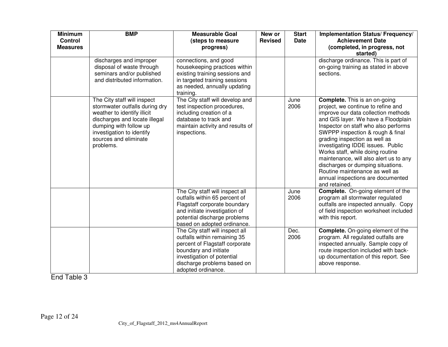| <b>Minimum</b><br><b>Control</b> | <b>BMP</b>                                                                                                                                                                                                                 | <b>Measurable Goal</b><br>(steps to measure                                                                                                                                                                   | New or<br><b>Revised</b> | <b>Start</b><br><b>Date</b> | Implementation Status/ Frequency/<br><b>Achievement Date</b>                                                                                                                                                                                                                                                                                                                                                                                                                                                          |
|----------------------------------|----------------------------------------------------------------------------------------------------------------------------------------------------------------------------------------------------------------------------|---------------------------------------------------------------------------------------------------------------------------------------------------------------------------------------------------------------|--------------------------|-----------------------------|-----------------------------------------------------------------------------------------------------------------------------------------------------------------------------------------------------------------------------------------------------------------------------------------------------------------------------------------------------------------------------------------------------------------------------------------------------------------------------------------------------------------------|
| <b>Measures</b>                  |                                                                                                                                                                                                                            | progress)                                                                                                                                                                                                     |                          |                             | (completed, in progress, not<br>started)                                                                                                                                                                                                                                                                                                                                                                                                                                                                              |
|                                  | discharges and improper<br>disposal of waste through<br>seminars and/or published<br>and distributed information.                                                                                                          | connections, and good<br>housekeeping practices within<br>existing training sessions and<br>in targeted training sessions<br>as needed, annually updating<br>training.                                        |                          |                             | discharge ordinance. This is part of<br>on-going training as stated in above<br>sections.                                                                                                                                                                                                                                                                                                                                                                                                                             |
|                                  | The City staff will inspect<br>stormwater outfalls during dry<br>weather to identify illicit<br>discharges and locate illegal<br>dumping with follow up<br>investigation to identify<br>sources and eliminate<br>problems. | The City staff will develop and<br>test inspection procedures,<br>including creation of a<br>database to track and<br>maintain activity and results of<br>inspections.                                        |                          | June<br>2006                | <b>Complete.</b> This is an on-going<br>project, we continue to refine and<br>improve our data collection methods<br>and GIS layer. We have a Floodplain<br>Inspector on staff who also performs<br>SWPPP inspection & rough & final<br>grading inspection as well as<br>investigating IDDE issues. Public<br>Works staff, while doing routine<br>maintenance, will also alert us to any<br>discharges or dumping situations.<br>Routine maintenance as well as<br>annual inspections are documented<br>and retained. |
|                                  |                                                                                                                                                                                                                            | The City staff will inspect all<br>outfalls within 65 percent of<br>Flagstaff corporate boundary<br>and initiate investigation of<br>potential discharge problems<br>based on adopted ordinance.              |                          | June<br>2006                | <b>Complete.</b> On-going element of the<br>program all stormwater regulated<br>outfalls are inspected annually. Copy<br>of field inspection worksheet included<br>with this report.                                                                                                                                                                                                                                                                                                                                  |
|                                  |                                                                                                                                                                                                                            | The City staff will inspect all<br>outfalls within remaining 35<br>percent of Flagstaff corporate<br>boundary and initiate<br>investigation of potential<br>discharge problems based on<br>adopted ordinance. |                          | Dec.<br>2006                | <b>Complete.</b> On-going element of the<br>program. All regulated outfalls are<br>inspected annually. Sample copy of<br>route inspection included with back-<br>up documentation of this report. See<br>above response.                                                                                                                                                                                                                                                                                              |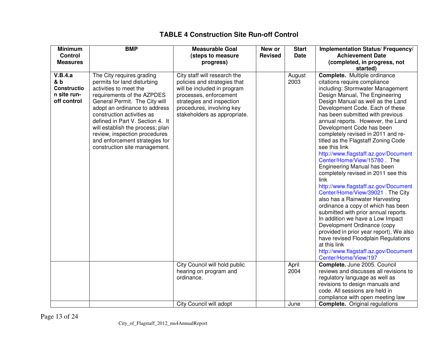| <b>Minimum</b><br><b>Control</b><br><b>Measures</b>                | <b>BMP</b>                                                                                                                                                                                                                                                                                                                                                                                   | <b>Measurable Goal</b><br>(steps to measure<br>progress)                                                                                                                                                        | New or<br><b>Revised</b> | <b>Start</b><br><b>Date</b> | Implementation Status/ Frequency/<br><b>Achievement Date</b><br>(completed, in progress, not<br>started)                                                                                                                                                                                                                                                                                                                                                                                                                                                                                                                                                                                                                                                                                                                                                                                                                                                                                                   |
|--------------------------------------------------------------------|----------------------------------------------------------------------------------------------------------------------------------------------------------------------------------------------------------------------------------------------------------------------------------------------------------------------------------------------------------------------------------------------|-----------------------------------------------------------------------------------------------------------------------------------------------------------------------------------------------------------------|--------------------------|-----------------------------|------------------------------------------------------------------------------------------------------------------------------------------------------------------------------------------------------------------------------------------------------------------------------------------------------------------------------------------------------------------------------------------------------------------------------------------------------------------------------------------------------------------------------------------------------------------------------------------------------------------------------------------------------------------------------------------------------------------------------------------------------------------------------------------------------------------------------------------------------------------------------------------------------------------------------------------------------------------------------------------------------------|
| V.B.4.a<br>& b<br><b>Constructio</b><br>n site run-<br>off control | The City requires grading<br>permits for land disturbing<br>activities to meet the<br>requirements of the AZPDES<br>General Permit. The City will<br>adopt an ordinance to address<br>construction activities as<br>defined in Part V. Section 4. It<br>will establish the process; plan<br>review, inspection procedures<br>and enforcement strategies for<br>construction site management. | City staff will research the<br>policies and strategies that<br>will be included in program<br>processes, enforcement<br>strategies and inspection<br>procedures, involving key<br>stakeholders as appropriate. |                          | August<br>2003              | <b>Complete.</b> Multiple ordinance<br>citations require compliance<br>including: Stormwater Management<br>Design Manual, The Engineering<br>Design Manual as well as the Land<br>Development Code. Each of these<br>has been submitted with previous<br>annual reports. However, the Land<br>Development Code has been<br>completely revised in 2011 and re-<br>titled as the Flagstaff Zoning Code<br>see this link<br>http://www.flagstaff.az.gov/Document<br>Center/Home/View/15780 The<br>Engineering Manual has been<br>completely revised in 2011 see this<br>link<br>http://www.flagstaff.az.gov/Document<br>Center/Home/View/39021 The City<br>also has a Rainwater Harvesting<br>ordinance a copy of which has been<br>submitted with prior annual reports.<br>In addition we have a Low Impact<br>Development Ordinance (copy<br>provided in prior year report). We also<br>have revised Floodplain Regulations<br>at this link<br>http://www.flagstaff.az.gov/Document<br>Center/Home/View/197 |
|                                                                    |                                                                                                                                                                                                                                                                                                                                                                                              | City Council will hold public<br>hearing on program and<br>ordinance.                                                                                                                                           |                          | April<br>2004               | Complete. June 2005. Council<br>reviews and discusses all revisions to<br>regulatory language as well as<br>revisions to design manuals and<br>code. All sessions are held in<br>compliance with open meeting law                                                                                                                                                                                                                                                                                                                                                                                                                                                                                                                                                                                                                                                                                                                                                                                          |
|                                                                    |                                                                                                                                                                                                                                                                                                                                                                                              | City Council will adopt                                                                                                                                                                                         |                          | June                        | <b>Complete.</b> Original regulations                                                                                                                                                                                                                                                                                                                                                                                                                                                                                                                                                                                                                                                                                                                                                                                                                                                                                                                                                                      |

### **TABLE 4 Construction Site Run-off Control**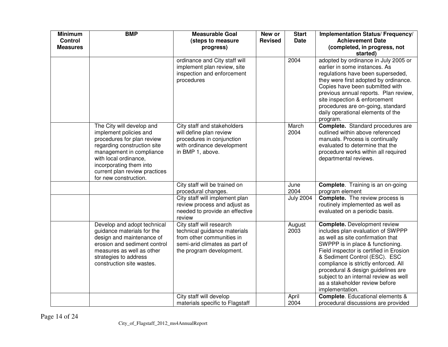| <b>Minimum</b><br>Control<br><b>Measures</b> | <b>BMP</b>                                                                                                                                                                                                                                                 | <b>Measurable Goal</b><br>(steps to measure<br>progress)                                                                                           | New or<br><b>Revised</b> | <b>Start</b><br><b>Date</b> | Implementation Status/ Frequency/<br><b>Achievement Date</b><br>(completed, in progress, not<br>started)                                                                                                                                                                                                                                                                                                  |
|----------------------------------------------|------------------------------------------------------------------------------------------------------------------------------------------------------------------------------------------------------------------------------------------------------------|----------------------------------------------------------------------------------------------------------------------------------------------------|--------------------------|-----------------------------|-----------------------------------------------------------------------------------------------------------------------------------------------------------------------------------------------------------------------------------------------------------------------------------------------------------------------------------------------------------------------------------------------------------|
|                                              |                                                                                                                                                                                                                                                            | ordinance and City staff will<br>implement plan review, site<br>inspection and enforcement<br>procedures                                           |                          | 2004                        | adopted by ordinance in July 2005 or<br>earlier in some instances. As<br>regulations have been superseded,<br>they were first adopted by ordinance.<br>Copies have been submitted with<br>previous annual reports. Plan review,<br>site inspection & enforcement<br>procedures are on-going, standard<br>daily operational elements of the<br>program.                                                    |
|                                              | The City will develop and<br>implement policies and<br>procedures for plan review<br>regarding construction site<br>management in compliance<br>with local ordinance,<br>incorporating them into<br>current plan review practices<br>for new construction. | City staff and stakeholders<br>will define plan review<br>procedures in conjunction<br>with ordinance development<br>in BMP 1, above.              |                          | March<br>2004               | <b>Complete.</b> Standard procedures are<br>outlined within above referenced<br>manuals. Process is continually<br>evaluated to determine that the<br>procedure works within all required<br>departmental reviews.                                                                                                                                                                                        |
|                                              |                                                                                                                                                                                                                                                            | City staff will be trained on<br>procedural changes.                                                                                               |                          | June<br>2004                | <b>Complete.</b> Training is an on-going<br>program element                                                                                                                                                                                                                                                                                                                                               |
|                                              |                                                                                                                                                                                                                                                            | City staff will implement plan<br>review process and adjust as<br>needed to provide an effective<br>review                                         |                          | <b>July 2004</b>            | <b>Complete.</b> The review process is<br>routinely implemented as well as<br>evaluated on a periodic basis.                                                                                                                                                                                                                                                                                              |
|                                              | Develop and adopt technical<br>guidance materials for the<br>design and maintenance of<br>erosion and sediment control<br>measures as well as other<br>strategies to address<br>construction site wastes.                                                  | City staff will research<br>technical guidance materials<br>from other communities in<br>semi-arid climates as part of<br>the program development. |                          | August<br>2003              | <b>Complete.</b> Development review<br>includes plan evaluation of SWPPP<br>as well as site confirmation that<br>SWPPP is in place & functioning.<br>Field inspector is certified in Erosion<br>& Sediment Control (ESC). ESC<br>compliance is strictly enforced. All<br>procedural & design guidelines are<br>subject to an internal review as well<br>as a stakeholder review before<br>implementation. |
|                                              |                                                                                                                                                                                                                                                            | City staff will develop<br>materials specific to Flagstaff                                                                                         |                          | April<br>2004               | <b>Complete.</b> Educational elements &<br>procedural discussions are provided                                                                                                                                                                                                                                                                                                                            |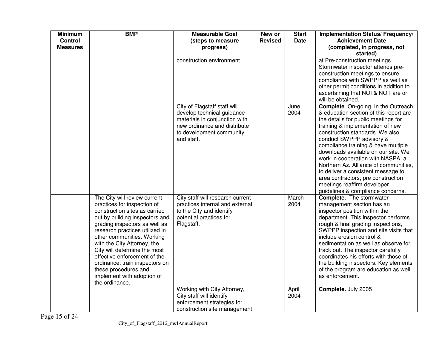| <b>Minimum</b><br><b>Control</b><br><b>Measures</b> | <b>BMP</b>                                                                                                                                                                                                                                                                                                                                                                                                                               | <b>Measurable Goal</b><br>(steps to measure<br>progress)                                                                                                              | New or<br><b>Revised</b> | <b>Start</b><br><b>Date</b> | Implementation Status/ Frequency/<br><b>Achievement Date</b><br>(completed, in progress, not<br>started)                                                                                                                                                                                                                                                                                                                                                                                                                            |
|-----------------------------------------------------|------------------------------------------------------------------------------------------------------------------------------------------------------------------------------------------------------------------------------------------------------------------------------------------------------------------------------------------------------------------------------------------------------------------------------------------|-----------------------------------------------------------------------------------------------------------------------------------------------------------------------|--------------------------|-----------------------------|-------------------------------------------------------------------------------------------------------------------------------------------------------------------------------------------------------------------------------------------------------------------------------------------------------------------------------------------------------------------------------------------------------------------------------------------------------------------------------------------------------------------------------------|
|                                                     |                                                                                                                                                                                                                                                                                                                                                                                                                                          | construction environment.                                                                                                                                             |                          |                             | at Pre-construction meetings.<br>Stormwater inspector attends pre-<br>construction meetings to ensure<br>compliance with SWPPP as well as<br>other permit conditions in addition to<br>ascertaining that NOI & NOT are or<br>will be obtained.                                                                                                                                                                                                                                                                                      |
|                                                     |                                                                                                                                                                                                                                                                                                                                                                                                                                          | City of Flagstaff staff will<br>develop technical guidance<br>materials in conjunction with<br>new ordinance and distribute<br>to development community<br>and staff. |                          | June<br>2004                | Complete. On-going. In the Outreach<br>& education section of this report are<br>the details for public meetings for<br>training & implementation of new<br>construction standards. We also<br>conduct SWPPP advisory &<br>compliance training & have multiple<br>downloads available on our site. We<br>work in cooperation with NASPA, a<br>Northern Az. Alliance of communities,<br>to deliver a consistent message to<br>area contractors; pre construction<br>meetings reaffirm developer<br>guidelines & compliance concerns. |
|                                                     | The City will review current<br>practices for inspection of<br>construction sites as carried<br>out by building inspectors and<br>grading inspectors as well as<br>research practices utilized in<br>other communities. Working<br>with the City Attorney, the<br>City will determine the most<br>effective enforcement of the<br>ordinance; train inspectors on<br>these procedures and<br>implement with adoption of<br>the ordinance. | City staff will research current<br>practices internal and external<br>to the City and identify<br>potential practices for<br>Flagstaff.                              |                          | March<br>2004               | <b>Complete.</b> The stormwater<br>management section has an<br>inspector position within the<br>department. This inspector performs<br>rough & final grading inspections,<br>SWPPP inspection and site visits that<br>include erosion control &<br>sedimentation as well as observe for<br>track out. The inspector carefully<br>coordinates his efforts with those of<br>the building inspectors. Key elements<br>of the program are education as well<br>as enforcement.                                                         |
|                                                     |                                                                                                                                                                                                                                                                                                                                                                                                                                          | Working with City Attorney,<br>City staff will identify<br>enforcement strategies for<br>construction site management                                                 |                          | April<br>2004               | Complete. July 2005                                                                                                                                                                                                                                                                                                                                                                                                                                                                                                                 |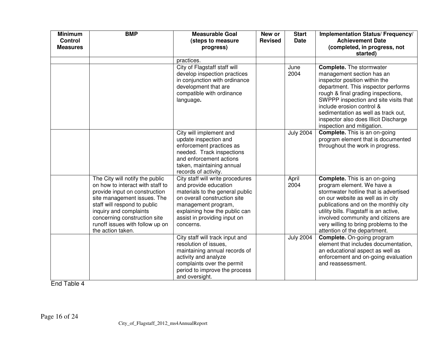| <b>Minimum</b><br><b>Control</b><br><b>Measures</b> | <b>BMP</b>                                                                                                                                                                                                                                                                            | <b>Measurable Goal</b><br>(steps to measure<br>progress)                                                                                                                                                                          | New or<br><b>Revised</b> | <b>Start</b><br><b>Date</b> | Implementation Status/ Frequency/<br><b>Achievement Date</b><br>(completed, in progress, not<br>started)                                                                                                                                                                                                                                                       |
|-----------------------------------------------------|---------------------------------------------------------------------------------------------------------------------------------------------------------------------------------------------------------------------------------------------------------------------------------------|-----------------------------------------------------------------------------------------------------------------------------------------------------------------------------------------------------------------------------------|--------------------------|-----------------------------|----------------------------------------------------------------------------------------------------------------------------------------------------------------------------------------------------------------------------------------------------------------------------------------------------------------------------------------------------------------|
|                                                     |                                                                                                                                                                                                                                                                                       | practices.                                                                                                                                                                                                                        |                          |                             |                                                                                                                                                                                                                                                                                                                                                                |
|                                                     |                                                                                                                                                                                                                                                                                       | City of Flagstaff staff will<br>develop inspection practices<br>in conjunction with ordinance<br>development that are<br>compatible with ordinance<br>language.                                                                   |                          | June<br>2004                | <b>Complete.</b> The stormwater<br>management section has an<br>inspector position within the<br>department. This inspector performs<br>rough & final grading inspections,<br>SWPPP inspection and site visits that<br>include erosion control &<br>sedimentation as well as track out,<br>inspector also does Illicit Discharge<br>inspection and mitigation. |
|                                                     |                                                                                                                                                                                                                                                                                       | City will implement and<br>update inspection and<br>enforcement practices as<br>needed. Track inspections<br>and enforcement actions<br>taken, maintaining annual<br>records of activity.                                         |                          | <b>July 2004</b>            | <b>Complete.</b> This is an on-going<br>program element that is documented<br>throughout the work in progress.                                                                                                                                                                                                                                                 |
|                                                     | The City will notify the public<br>on how to interact with staff to<br>provide input on construction<br>site management issues. The<br>staff will respond to public<br>inquiry and complaints<br>concerning construction site<br>runoff issues with follow up on<br>the action taken. | City staff will write procedures<br>and provide education<br>materials to the general public<br>on overall construction site<br>management program,<br>explaining how the public can<br>assist in providing input on<br>concerns. |                          | April<br>2004               | <b>Complete.</b> This is an on-going<br>program element. We have a<br>stormwater hotline that is advertised<br>on our website as well as in city<br>publications and on the monthly city<br>utility bills. Flagstaff is an active,<br>involved community and citizens are<br>very willing to bring problems to the<br>attention of the department.             |
|                                                     |                                                                                                                                                                                                                                                                                       | City staff will track input and<br>resolution of issues,<br>maintaining annual records of<br>activity and analyze<br>complaints over the permit<br>period to improve the process<br>and oversight.                                |                          | <b>July 2004</b>            | <b>Complete.</b> On-going program<br>element that includes documentation,<br>an educational aspect as well as<br>enforcement and on-going evaluation<br>and reassessment.                                                                                                                                                                                      |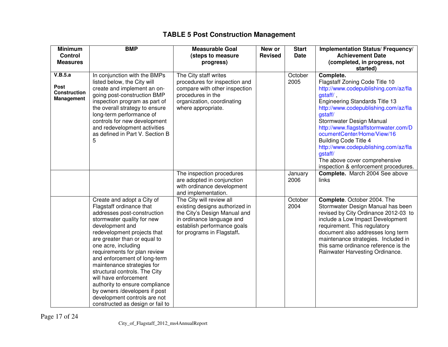|      | <b>Minimum</b><br><b>Control</b><br><b>Measures</b> | <b>BMP</b>                                                                                                                                                                                                                                                                                                                                                                                                                                                                                                                  | <b>Measurable Goal</b><br>(steps to measure<br>progress)                                                                                                                             | New or<br><b>Revised</b> | <b>Start</b><br><b>Date</b> | Implementation Status/ Frequency/<br><b>Achievement Date</b><br>(completed, in progress, not                                                                                                                                                                                                                                                                                                                                                                         |
|------|-----------------------------------------------------|-----------------------------------------------------------------------------------------------------------------------------------------------------------------------------------------------------------------------------------------------------------------------------------------------------------------------------------------------------------------------------------------------------------------------------------------------------------------------------------------------------------------------------|--------------------------------------------------------------------------------------------------------------------------------------------------------------------------------------|--------------------------|-----------------------------|----------------------------------------------------------------------------------------------------------------------------------------------------------------------------------------------------------------------------------------------------------------------------------------------------------------------------------------------------------------------------------------------------------------------------------------------------------------------|
| Post | V.B.5.a<br><b>Construction</b><br><b>Management</b> | In conjunction with the BMPs<br>listed below, the City will<br>create and implement an on-<br>going post-construction BMP<br>inspection program as part of<br>the overall strategy to ensure<br>long-term performance of<br>controls for new development<br>and redevelopment activities<br>as defined in Part V. Section B<br>5                                                                                                                                                                                            | The City staff writes<br>procedures for inspection and<br>compare with other inspection<br>procedures in the<br>organization, coordinating<br>where appropriate.                     |                          | October<br>2005             | started)<br>Complete.<br>Flagstaff Zoning Code Title 10<br>http://www.codepublishing.com/az/fla<br>gstaff/<br><b>Engineering Standards Title 13</b><br>http://www.codepublishing.com/az/fla<br>gstaff/<br>Stormwater Design Manual<br>http://www.flagstaffstormwater.com/D<br>ocumentCenter/Home/View/16<br><b>Building Code Title 4</b><br>http://www.codepublishing.com/az/fla<br>gstaff/<br>The above cover comprehensive<br>inspection & enforcement procedures. |
|      |                                                     |                                                                                                                                                                                                                                                                                                                                                                                                                                                                                                                             | The inspection procedures<br>are adopted in conjunction<br>with ordinance development<br>and implementation.                                                                         |                          | January<br>2006             | Complete. March 2004 See above<br>links                                                                                                                                                                                                                                                                                                                                                                                                                              |
|      |                                                     | Create and adopt a City of<br>Flagstaff ordinance that<br>addresses post-construction<br>stormwater quality for new<br>development and<br>redevelopment projects that<br>are greater than or equal to<br>one acre, including<br>requirements for plan review<br>and enforcement of long-term<br>maintenance strategies for<br>structural controls. The City<br>will have enforcement<br>authority to ensure compliance<br>by owners /developers if post<br>development controls are not<br>constructed as design or fail to | The City will review all<br>existing designs authorized in<br>the City's Design Manual and<br>in ordinance language and<br>establish performance goals<br>for programs in Flagstaff. |                          | October<br>2004             | Complete. October 2004. The<br>Stormwater Design Manual has been<br>revised by City Ordinance 2012-03 to<br>include a Low Impact Development<br>requirement. This regulatory<br>document also addresses long term<br>maintenance strategies. Included in<br>this same ordinance reference is the<br>Rainwater Harvesting Ordinance.                                                                                                                                  |

# **TABLE 5 Post Construction Management**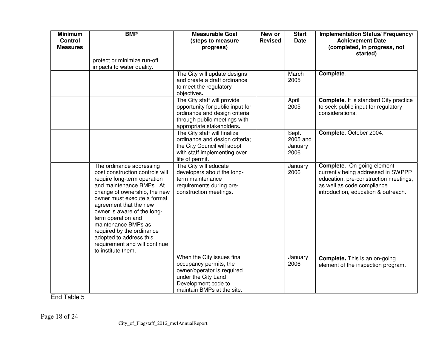| <b>Minimum</b><br><b>Control</b><br><b>Measures</b> | <b>BMP</b>                                                                                                                                                                                                                                                                                                                                                                                                 | <b>Measurable Goal</b><br>(steps to measure<br>progress)                                                                                                       | New or<br><b>Revised</b> | <b>Start</b><br><b>Date</b>          | Implementation Status/ Frequency/<br><b>Achievement Date</b><br>(completed, in progress, not                                                                                          |
|-----------------------------------------------------|------------------------------------------------------------------------------------------------------------------------------------------------------------------------------------------------------------------------------------------------------------------------------------------------------------------------------------------------------------------------------------------------------------|----------------------------------------------------------------------------------------------------------------------------------------------------------------|--------------------------|--------------------------------------|---------------------------------------------------------------------------------------------------------------------------------------------------------------------------------------|
|                                                     | protect or minimize run-off<br>impacts to water quality.                                                                                                                                                                                                                                                                                                                                                   |                                                                                                                                                                |                          |                                      | started)                                                                                                                                                                              |
|                                                     |                                                                                                                                                                                                                                                                                                                                                                                                            | The City will update designs<br>and create a draft ordinance<br>to meet the regulatory<br>objectives.                                                          |                          | March<br>2005                        | Complete.                                                                                                                                                                             |
|                                                     |                                                                                                                                                                                                                                                                                                                                                                                                            | The City staff will provide<br>opportunity for public input for<br>ordinance and design criteria<br>through public meetings with<br>appropriate stakeholders.  |                          | April<br>2005                        | <b>Complete.</b> It is standard City practice<br>to seek public input for regulatory<br>considerations.                                                                               |
|                                                     |                                                                                                                                                                                                                                                                                                                                                                                                            | The City staff will finalize<br>ordinance and design criteria;<br>the City Council will adopt<br>with staff implementing over<br>life of permit.               |                          | Sept.<br>2005 and<br>January<br>2006 | Complete. October 2004.                                                                                                                                                               |
|                                                     | The ordinance addressing<br>post construction controls will<br>require long-term operation<br>and maintenance BMPs. At<br>change of ownership, the new<br>owner must execute a formal<br>agreement that the new<br>owner is aware of the long-<br>term operation and<br>maintenance BMPs as<br>required by the ordinance<br>adopted to address this<br>requirement and will continue<br>to institute them. | The City will educate<br>developers about the long-<br>term maintenance<br>requirements during pre-<br>construction meetings.                                  |                          | January<br>2006                      | <b>Complete.</b> On-going element<br>currently being addressed in SWPPP<br>education, pre-construction meetings,<br>as well as code compliance<br>introduction, education & outreach. |
|                                                     |                                                                                                                                                                                                                                                                                                                                                                                                            | When the City issues final<br>occupancy permits, the<br>owner/operator is required<br>under the City Land<br>Development code to<br>maintain BMPs at the site. |                          | January<br>2006                      | Complete. This is an on-going<br>element of the inspection program.                                                                                                                   |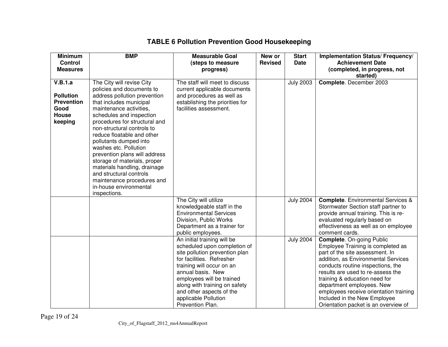| <b>Minimum</b>    | <b>BMP</b>                                                | <b>Measurable Goal</b>                                    | New or         | <b>Start</b>     | Implementation Status/ Frequency/         |
|-------------------|-----------------------------------------------------------|-----------------------------------------------------------|----------------|------------------|-------------------------------------------|
| <b>Control</b>    |                                                           | (steps to measure                                         | <b>Revised</b> | Date             | <b>Achievement Date</b>                   |
| <b>Measures</b>   |                                                           | progress)                                                 |                |                  | (completed, in progress, not              |
| V.B.1.a           |                                                           | The staff will meet to discuss                            |                | <b>July 2003</b> | started)<br>Complete. December 2003       |
|                   | The City will revise City<br>policies and documents to    |                                                           |                |                  |                                           |
| <b>Pollution</b>  |                                                           | current applicable documents                              |                |                  |                                           |
| <b>Prevention</b> | address pollution prevention                              | and procedures as well as                                 |                |                  |                                           |
| Good              | that includes municipal<br>maintenance activities,        | establishing the priorities for<br>facilities assessment. |                |                  |                                           |
| <b>House</b>      |                                                           |                                                           |                |                  |                                           |
| keeping           | schedules and inspection<br>procedures for structural and |                                                           |                |                  |                                           |
|                   | non-structural controls to                                |                                                           |                |                  |                                           |
|                   | reduce floatable and other                                |                                                           |                |                  |                                           |
|                   | pollutants dumped into                                    |                                                           |                |                  |                                           |
|                   | washes etc. Pollution                                     |                                                           |                |                  |                                           |
|                   | prevention plans will address                             |                                                           |                |                  |                                           |
|                   | storage of materials, proper                              |                                                           |                |                  |                                           |
|                   | materials handling, drainage                              |                                                           |                |                  |                                           |
|                   | and structural controls                                   |                                                           |                |                  |                                           |
|                   | maintenance procedures and                                |                                                           |                |                  |                                           |
|                   | in-house environmental                                    |                                                           |                |                  |                                           |
|                   | inspections.                                              |                                                           |                |                  |                                           |
|                   |                                                           | The City will utilize                                     |                | <b>July 2004</b> | <b>Complete.</b> Environmental Services & |
|                   |                                                           | knowledgeable staff in the                                |                |                  | Stormwater Section staff partner to       |
|                   |                                                           | <b>Environmental Services</b>                             |                |                  | provide annual training. This is re-      |
|                   |                                                           | Division, Public Works                                    |                |                  | evaluated regularly based on              |
|                   |                                                           | Department as a trainer for                               |                |                  | effectiveness as well as on employee      |
|                   |                                                           | public employees.                                         |                |                  | comment cards.                            |
|                   |                                                           | An initial training will be                               |                | <b>July 2004</b> | <b>Complete.</b> On-going Public          |
|                   |                                                           | scheduled upon completion of                              |                |                  | Employee Training is completed as         |
|                   |                                                           | site pollution prevention plan                            |                |                  | part of the site assessment. In           |
|                   |                                                           | for facilities. Refresher                                 |                |                  | addition, as Environmental Services       |
|                   |                                                           | training will occur on an                                 |                |                  | conducts routine inspections, the         |
|                   |                                                           | annual basis. New                                         |                |                  | results are used to re-assess the         |
|                   |                                                           | employees will be trained                                 |                |                  | training & education need for             |
|                   |                                                           | along with training on safety                             |                |                  | department employees. New                 |
|                   |                                                           | and other aspects of the                                  |                |                  | employees receive orientation training    |
|                   |                                                           | applicable Pollution                                      |                |                  | Included in the New Employee              |
|                   |                                                           | Prevention Plan.                                          |                |                  | Orientation packet is an overview of      |

## **TABLE 6 Pollution Prevention Good Housekeeping**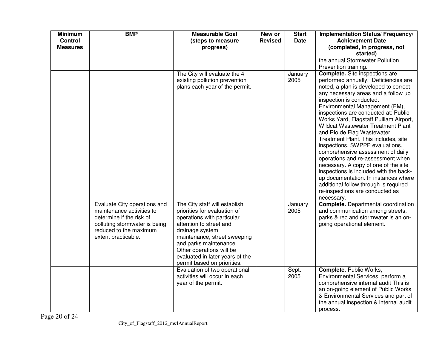| <b>Minimum</b><br><b>Control</b><br><b>Measures</b> | <b>BMP</b>                                                                                                                                                              | <b>Measurable Goal</b><br>(steps to measure<br>progress)                                                                                                                                                                                                                                          | New or<br><b>Revised</b> | <b>Start</b><br><b>Date</b> | Implementation Status/ Frequency/<br><b>Achievement Date</b><br>(completed, in progress, not<br>started)                                                                                                                                                                                                                                                                                                                                                                                                                                                                                                                                                                                                                                                   |
|-----------------------------------------------------|-------------------------------------------------------------------------------------------------------------------------------------------------------------------------|---------------------------------------------------------------------------------------------------------------------------------------------------------------------------------------------------------------------------------------------------------------------------------------------------|--------------------------|-----------------------------|------------------------------------------------------------------------------------------------------------------------------------------------------------------------------------------------------------------------------------------------------------------------------------------------------------------------------------------------------------------------------------------------------------------------------------------------------------------------------------------------------------------------------------------------------------------------------------------------------------------------------------------------------------------------------------------------------------------------------------------------------------|
|                                                     |                                                                                                                                                                         |                                                                                                                                                                                                                                                                                                   |                          |                             | the annual Stormwater Pollution<br>Prevention training.                                                                                                                                                                                                                                                                                                                                                                                                                                                                                                                                                                                                                                                                                                    |
|                                                     |                                                                                                                                                                         | The City will evaluate the 4<br>existing pollution prevention<br>plans each year of the permit.                                                                                                                                                                                                   |                          | January<br>2005             | <b>Complete.</b> Site inspections are<br>performed annually. Deficiencies are<br>noted, a plan is developed to correct<br>any necessary areas and a follow up<br>inspection is conducted.<br>Environmental Management (EM),<br>inspections are conducted at: Public<br>Works Yard, Flagstaff Pulliam Airport,<br>Wildcat Wastewater Treatment Plant<br>and Rio de Flag Wastewater<br>Treatment Plant. This includes, site<br>inspections, SWPPP evaluations,<br>comprehensive assessment of daily<br>operations and re-assessment when<br>necessary. A copy of one of the site<br>inspections is included with the back-<br>up documentation. In instances where<br>additional follow through is required<br>re-inspections are conducted as<br>necessary. |
|                                                     | Evaluate City operations and<br>maintenance activities to<br>determine if the risk of<br>polluting stormwater is being<br>reduced to the maximum<br>extent practicable. | The City staff will establish<br>priorities for evaluation of<br>operations with particular<br>attention to street and<br>drainage system<br>maintenance, street sweeping<br>and parks maintenance.<br>Other operations will be<br>evaluated in later years of the<br>permit based on priorities. |                          | January<br>2005             | <b>Complete.</b> Departmental coordination<br>and communication among streets,<br>parks & rec and stormwater is an on-<br>going operational element.                                                                                                                                                                                                                                                                                                                                                                                                                                                                                                                                                                                                       |
|                                                     |                                                                                                                                                                         | Evaluation of two operational<br>activities will occur in each<br>year of the permit.                                                                                                                                                                                                             |                          | Sept.<br>2005               | <b>Complete. Public Works,</b><br>Environmental Services, perform a<br>comprehensive internal audit This is<br>an on-going element of Public Works<br>& Environmental Services and part of<br>the annual inspection & internal audit<br>process.                                                                                                                                                                                                                                                                                                                                                                                                                                                                                                           |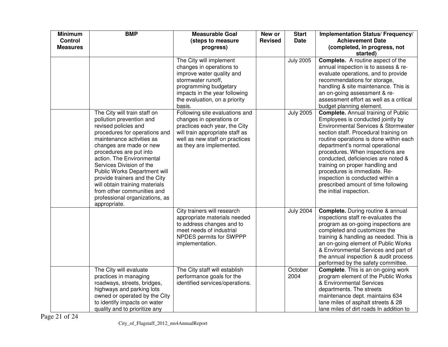| <b>Minimum</b><br><b>Control</b><br><b>Measures</b> | <b>BMP</b>                                                                                                                                                                                                                                                                                                                                                   | <b>Measurable Goal</b><br>(steps to measure<br>progress)                                                                                                                                                                                                                                                   | New or<br><b>Revised</b> | <b>Start</b><br><b>Date</b>          | Implementation Status/ Frequency/<br><b>Achievement Date</b><br>(completed, in progress, not                                                                                                                                                                                                                                                                                                                                                 |
|-----------------------------------------------------|--------------------------------------------------------------------------------------------------------------------------------------------------------------------------------------------------------------------------------------------------------------------------------------------------------------------------------------------------------------|------------------------------------------------------------------------------------------------------------------------------------------------------------------------------------------------------------------------------------------------------------------------------------------------------------|--------------------------|--------------------------------------|----------------------------------------------------------------------------------------------------------------------------------------------------------------------------------------------------------------------------------------------------------------------------------------------------------------------------------------------------------------------------------------------------------------------------------------------|
|                                                     | The City will train staff on<br>pollution prevention and<br>revised policies and                                                                                                                                                                                                                                                                             | The City will implement<br>changes in operations to<br>improve water quality and<br>stormwater runoff,<br>programming budgetary<br>impacts in the year following<br>the evaluation, on a priority<br>basis.<br>Following site evaluations and<br>changes in operations or<br>practices each year, the City |                          | <b>July 2005</b><br><b>July 2005</b> | started)<br><b>Complete.</b> A routine aspect of the<br>annual inspection is to assess & re-<br>evaluate operations, and to provide<br>recommendations for storage,<br>handling & site maintenance. This is<br>an on-going assessment & re-<br>assessment effort as well as a critical<br>budget planning element.<br><b>Complete.</b> Annual training of Public<br>Employees is conducted jointly by<br>Environmental Services & Stormwater |
|                                                     | procedures for operations and<br>maintenance activities as<br>changes are made or new<br>procedures are put into<br>action. The Environmental<br>Services Division of the<br>Public Works Department will<br>provide trainers and the City<br>will obtain training materials<br>from other communities and<br>professional organizations, as<br>appropriate. | will train appropriate staff as<br>well as new staff on practices<br>as they are implemented.                                                                                                                                                                                                              |                          |                                      | section staff. Procedural training on<br>routine operations is done within each<br>department's normal operational<br>procedures. When inspections are<br>conducted, deficiencies are noted &<br>training on proper handling and<br>procedures is immediate. Re-<br>inspection is conducted within a<br>prescribed amount of time following<br>the initial inspection.                                                                       |
|                                                     |                                                                                                                                                                                                                                                                                                                                                              | City trainers will research<br>appropriate materials needed<br>to address changes and to<br>meet needs of industrial<br>NPDES permits for SWPPP<br>implementation.                                                                                                                                         |                          | <b>July 2004</b>                     | <b>Complete.</b> During routine & annual<br>inspections staff re-evaluates the<br>program as on-going inspections are<br>completed and customizes the<br>training & handling as needed. This is<br>an on-going element of Public Works<br>& Environmental Services and part of<br>the annual inspection & audit process<br>performed by the safety committee.                                                                                |
|                                                     | The City will evaluate<br>practices in managing<br>roadways, streets, bridges,<br>highways and parking lots<br>owned or operated by the City<br>to identify impacts on water<br>quality and to prioritize any                                                                                                                                                | The City staff will establish<br>performance goals for the<br>identified services/operations.                                                                                                                                                                                                              |                          | October<br>2004                      | <b>Complete.</b> This is an on-going work<br>program element of the Public Works<br>& Environmental Services<br>departments. The streets<br>maintenance dept. maintains 634<br>lane miles of asphalt streets & 28<br>lane miles of dirt roads In addition to                                                                                                                                                                                 |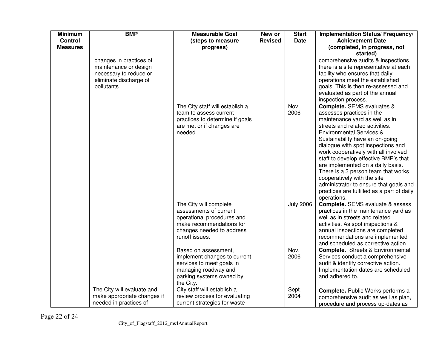| <b>Minimum</b><br><b>Control</b><br><b>Measures</b> | <b>BMP</b>                                                                                                          | <b>Measurable Goal</b><br>(steps to measure<br>progress)                                                                                                  | New or<br><b>Revised</b> | <b>Start</b><br>Date | Implementation Status/ Frequency/<br><b>Achievement Date</b><br>(completed, in progress, not<br>started)                                                                                                                                                                                                                                                                                                                                                                                                                                        |
|-----------------------------------------------------|---------------------------------------------------------------------------------------------------------------------|-----------------------------------------------------------------------------------------------------------------------------------------------------------|--------------------------|----------------------|-------------------------------------------------------------------------------------------------------------------------------------------------------------------------------------------------------------------------------------------------------------------------------------------------------------------------------------------------------------------------------------------------------------------------------------------------------------------------------------------------------------------------------------------------|
|                                                     | changes in practices of<br>maintenance or design<br>necessary to reduce or<br>eliminate discharge of<br>pollutants. |                                                                                                                                                           |                          |                      | comprehensive audits & inspections,<br>there is a site representative at each<br>facility who ensures that daily<br>operations meet the established<br>goals. This is then re-assessed and<br>evaluated as part of the annual<br>inspection process.                                                                                                                                                                                                                                                                                            |
|                                                     |                                                                                                                     | The City staff will establish a<br>team to assess current<br>practices to determine if goals<br>are met or if changes are<br>needed.                      |                          | Nov.<br>2006         | Complete. SEMS evaluates &<br>assesses practices in the<br>maintenance yard as well as in<br>streets and related activities.<br><b>Environmental Services &amp;</b><br>Sustainability have an on-going<br>dialogue with spot inspections and<br>work cooperatively with all involved<br>staff to develop effective BMP's that<br>are implemented on a daily basis.<br>There is a 3 person team that works<br>cooperatively with the site<br>administrator to ensure that goals and<br>practices are fulfilled as a part of daily<br>operations. |
|                                                     |                                                                                                                     | The City will complete<br>assessments of current<br>operational procedures and<br>make recommendations for<br>changes needed to address<br>runoff issues. |                          | <b>July 2006</b>     | <b>Complete.</b> SEMS evaluate & assess<br>practices in the maintenance yard as<br>well as in streets and related<br>activities. As spot inspections &<br>annual inspections are completed<br>recommendations are implemented<br>and scheduled as corrective action.                                                                                                                                                                                                                                                                            |
|                                                     |                                                                                                                     | Based on assessment,<br>implement changes to current<br>services to meet goals in<br>managing roadway and<br>parking systems owned by<br>the City.        |                          | Nov.<br>2006         | <b>Complete.</b> Streets & Environmental<br>Services conduct a comprehensive<br>audit & identify corrective action.<br>Implementation dates are scheduled<br>and adhered to.                                                                                                                                                                                                                                                                                                                                                                    |
|                                                     | The City will evaluate and<br>make appropriate changes if<br>needed in practices of                                 | City staff will establish a<br>review process for evaluating<br>current strategies for waste                                                              |                          | Sept.<br>2004        | Complete. Public Works performs a<br>comprehensive audit as well as plan,<br>procedure and process up-dates as                                                                                                                                                                                                                                                                                                                                                                                                                                  |

Page 22 of 24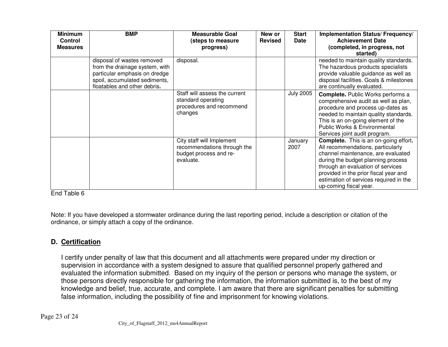| <b>Minimum</b><br><b>Control</b><br><b>Measures</b> | <b>BMP</b>                                                                                                                                                     | <b>Measurable Goal</b><br>(steps to measure<br>progress)                                        | New or<br><b>Revised</b> | <b>Start</b><br><b>Date</b> | Implementation Status/ Frequency/<br><b>Achievement Date</b><br>(completed, in progress, not<br>started)                                                                                                                                                                                                        |
|-----------------------------------------------------|----------------------------------------------------------------------------------------------------------------------------------------------------------------|-------------------------------------------------------------------------------------------------|--------------------------|-----------------------------|-----------------------------------------------------------------------------------------------------------------------------------------------------------------------------------------------------------------------------------------------------------------------------------------------------------------|
|                                                     | disposal of wastes removed<br>from the drainage system, with<br>particular emphasis on dredge<br>spoil, accumulated sediments,<br>floatables and other debris. | disposal.                                                                                       |                          |                             | needed to maintain quality standards.<br>The hazardous products specialists<br>provide valuable guidance as well as<br>disposal facilities. Goals & milestones<br>are continually evaluated.                                                                                                                    |
|                                                     |                                                                                                                                                                | Staff will assess the current<br>standard operating<br>procedures and recommend<br>changes      |                          | <b>July 2005</b>            | <b>Complete.</b> Public Works performs a<br>comprehensive audit as well as plan,<br>procedure and process up-dates as<br>needed to maintain quality standards.<br>This is an on-going element of the<br>Public Works & Environmental<br>Services joint audit program.                                           |
|                                                     |                                                                                                                                                                | City staff will Implement<br>recommendations through the<br>budget process and re-<br>evaluate. |                          | January<br>2007             | <b>Complete.</b> This is an on-going effort.<br>All recommendations, particularly<br>channel maintenance, are evaluated<br>during the budget planning process<br>through an evaluation of services<br>provided in the prior fiscal year and<br>estimation of services required in the<br>up-coming fiscal year. |

Note: If you have developed a stormwater ordinance during the last reporting period, include a description or citation of the ordinance, or simply attach a copy of the ordinance.

# **D. Certification**

I certify under penalty of law that this document and all attachments were prepared under my direction or supervision in accordance with a system designed to assure that qualified personnel properly gathered and evaluated the information submitted. Based on my inquiry of the person or persons who manage the system, or those persons directly responsible for gathering the information, the information submitted is, to the best of my knowledge and belief, true, accurate, and complete. I am aware that there are significant penalties for submitting false information, including the possibility of fine and imprisonment for knowing violations.